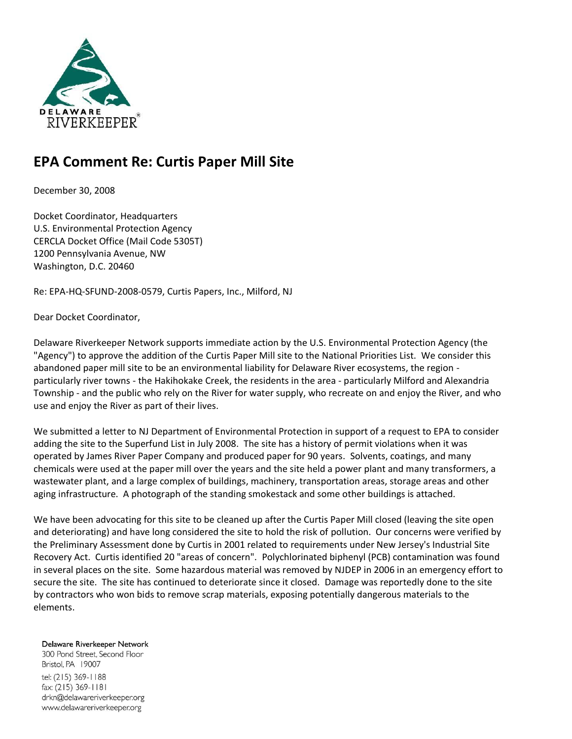

# **EPA Comment Re: Curtis Paper Mill Site**

December 30, 2008

Docket Coordinator, Headquarters U.S. Environmental Protection Agency CERCLA Docket Office (Mail Code 5305T) 1200 Pennsylvania Avenue, NW Washington, D.C. 20460

Re: EPA-HQ-SFUND-2008-0579, Curtis Papers, Inc., Milford, NJ

Dear Docket Coordinator,

Delaware Riverkeeper Network supports immediate action by the U.S. Environmental Protection Agency (the "Agency") to approve the addition of the Curtis Paper Mill site to the National Priorities List. We consider this abandoned paper mill site to be an environmental liability for Delaware River ecosystems, the region particularly river towns - the Hakihokake Creek, the residents in the area - particularly Milford and Alexandria Township - and the public who rely on the River for water supply, who recreate on and enjoy the River, and who use and enjoy the River as part of their lives.

We submitted a letter to NJ Department of Environmental Protection in support of a request to EPA to consider adding the site to the Superfund List in July 2008. The site has a history of permit violations when it was operated by James River Paper Company and produced paper for 90 years. Solvents, coatings, and many chemicals were used at the paper mill over the years and the site held a power plant and many transformers, a wastewater plant, and a large complex of buildings, machinery, transportation areas, storage areas and other aging infrastructure. A photograph of the standing smokestack and some other buildings is attached.

We have been advocating for this site to be cleaned up after the Curtis Paper Mill closed (leaving the site open and deteriorating) and have long considered the site to hold the risk of pollution. Our concerns were verified by the Preliminary Assessment done by Curtis in 2001 related to requirements under New Jersey's Industrial Site Recovery Act. Curtis identified 20 "areas of concern". Polychlorinated biphenyl (PCB) contamination was found in several places on the site. Some hazardous material was removed by NJDEP in 2006 in an emergency effort to secure the site. The site has continued to deteriorate since it closed. Damage was reportedly done to the site by contractors who won bids to remove scrap materials, exposing potentially dangerous materials to the elements.

Delaware Riverkeeper Network

300 Pond Street, Second Floor Bristol, PA 19007 tel: (215) 369-1188 fax: (215) 369-1181 drkn@delawareriverkeeper.org www.delawareriverkeeper.org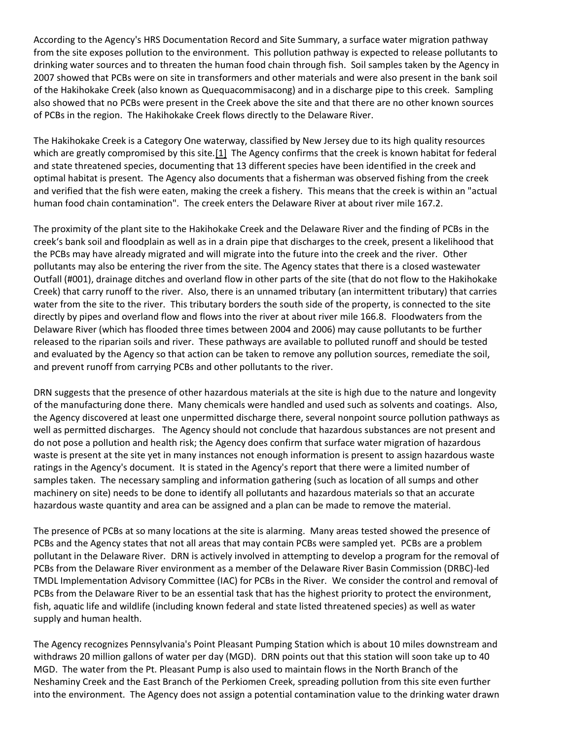According to the Agency's HRS Documentation Record and Site Summary, a surface water migration pathway from the site exposes pollution to the environment. This pollution pathway is expected to release pollutants to drinking water sources and to threaten the human food chain through fish. Soil samples taken by the Agency in 2007 showed that PCBs were on site in transformers and other materials and were also present in the bank soil of the Hakihokake Creek (also known as Quequacommisacong) and in a discharge pipe to this creek. Sampling also showed that no PCBs were present in the Creek above the site and that there are no other known sources of PCBs in the region. The Hakihokake Creek flows directly to the Delaware River.

The Hakihokake Creek is a Category One waterway, classified by New Jersey due to its high quality resources which are greatly compromised by this site.<sup>[1]</sup> The Agency confirms that the creek is known habitat for federal and state threatened species, documenting that 13 different species have been identified in the creek and optimal habitat is present. The Agency also documents that a fisherman was observed fishing from the creek and verified that the fish were eaten, making the creek a fishery. This means that the creek is within an "actual human food chain contamination". The creek enters the Delaware River at about river mile 167.2.

The proximity of the plant site to the Hakihokake Creek and the Delaware River and the finding of PCBs in the creek's bank soil and floodplain as well as in a drain pipe that discharges to the creek, present a likelihood that the PCBs may have already migrated and will migrate into the future into the creek and the river. Other pollutants may also be entering the river from the site. The Agency states that there is a closed wastewater Outfall (#001), drainage ditches and overland flow in other parts of the site (that do not flow to the Hakihokake Creek) that carry runoff to the river. Also, there is an unnamed tributary (an intermittent tributary) that carries water from the site to the river. This tributary borders the south side of the property, is connected to the site directly by pipes and overland flow and flows into the river at about river mile 166.8. Floodwaters from the Delaware River (which has flooded three times between 2004 and 2006) may cause pollutants to be further released to the riparian soils and river. These pathways are available to polluted runoff and should be tested and evaluated by the Agency so that action can be taken to remove any pollution sources, remediate the soil, and prevent runoff from carrying PCBs and other pollutants to the river.

DRN suggests that the presence of other hazardous materials at the site is high due to the nature and longevity of the manufacturing done there. Many chemicals were handled and used such as solvents and coatings. Also, the Agency discovered at least one unpermitted discharge there, several nonpoint source pollution pathways as well as permitted discharges. The Agency should not conclude that hazardous substances are not present and do not pose a pollution and health risk; the Agency does confirm that surface water migration of hazardous waste is present at the site yet in many instances not enough information is present to assign hazardous waste ratings in the Agency's document. It is stated in the Agency's report that there were a limited number of samples taken. The necessary sampling and information gathering (such as location of all sumps and other machinery on site) needs to be done to identify all pollutants and hazardous materials so that an accurate hazardous waste quantity and area can be assigned and a plan can be made to remove the material.

The presence of PCBs at so many locations at the site is alarming. Many areas tested showed the presence of PCBs and the Agency states that not all areas that may contain PCBs were sampled yet. PCBs are a problem pollutant in the Delaware River. DRN is actively involved in attempting to develop a program for the removal of PCBs from the Delaware River environment as a member of the Delaware River Basin Commission (DRBC)-led TMDL Implementation Advisory Committee (IAC) for PCBs in the River. We consider the control and removal of PCBs from the Delaware River to be an essential task that has the highest priority to protect the environment, fish, aquatic life and wildlife (including known federal and state listed threatened species) as well as water supply and human health.

The Agency recognizes Pennsylvania's Point Pleasant Pumping Station which is about 10 miles downstream and withdraws 20 million gallons of water per day (MGD). DRN points out that this station will soon take up to 40 MGD. The water from the Pt. Pleasant Pump is also used to maintain flows in the North Branch of the Neshaminy Creek and the East Branch of the Perkiomen Creek, spreading pollution from this site even further into the environment. The Agency does not assign a potential contamination value to the drinking water drawn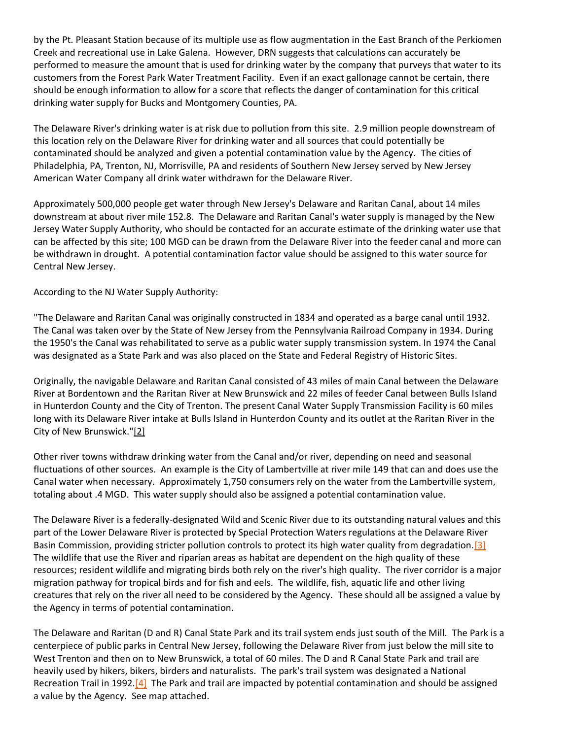by the Pt. Pleasant Station because of its multiple use as flow augmentation in the East Branch of the Perkiomen Creek and recreational use in Lake Galena. However, DRN suggests that calculations can accurately be performed to measure the amount that is used for drinking water by the company that purveys that water to its customers from the Forest Park Water Treatment Facility. Even if an exact gallonage cannot be certain, there should be enough information to allow for a score that reflects the danger of contamination for this critical drinking water supply for Bucks and Montgomery Counties, PA.

The Delaware River's drinking water is at risk due to pollution from this site. 2.9 million people downstream of this location rely on the Delaware River for drinking water and all sources that could potentially be contaminated should be analyzed and given a potential contamination value by the Agency. The cities of Philadelphia, PA, Trenton, NJ, Morrisville, PA and residents of Southern New Jersey served by New Jersey American Water Company all drink water withdrawn for the Delaware River.

Approximately 500,000 people get water through New Jersey's Delaware and Raritan Canal, about 14 miles downstream at about river mile 152.8. The Delaware and Raritan Canal's water supply is managed by the New Jersey Water Supply Authority, who should be contacted for an accurate estimate of the drinking water use that can be affected by this site; 100 MGD can be drawn from the Delaware River into the feeder canal and more can be withdrawn in drought. A potential contamination factor value should be assigned to this water source for Central New Jersey.

According to the NJ Water Supply Authority:

"The Delaware and Raritan Canal was originally constructed in 1834 and operated as a barge canal until 1932. The Canal was taken over by the State of New Jersey from the Pennsylvania Railroad Company in 1934. During the 1950's the Canal was rehabilitated to serve as a public water supply transmission system. In 1974 the Canal was designated as a State Park and was also placed on the State and Federal Registry of Historic Sites.

Originally, the navigable Delaware and Raritan Canal consisted of 43 miles of main Canal between the Delaware River at Bordentown and the Raritan River at New Brunswick and 22 miles of feeder Canal between Bulls Island in Hunterdon County and the City of Trenton. The present Canal Water Supply Transmission Facility is 60 miles long with its Delaware River intake at Bulls Island in Hunterdon County and its outlet at the Raritan River in the City of New Brunswick.["\[2\]](http://delawareriverkeeper.org/newsresources/factsheet.asp?ID=89#_ftn2)

Other river towns withdraw drinking water from the Canal and/or river, depending on need and seasonal fluctuations of other sources. An example is the City of Lambertville at river mile 149 that can and does use the Canal water when necessary. Approximately 1,750 consumers rely on the water from the Lambertville system, totaling about .4 MGD. This water supply should also be assigned a potential contamination value.

The Delaware River is a federally-designated Wild and Scenic River due to its outstanding natural values and this part of the Lower Delaware River is protected by Special Protection Waters regulations at the Delaware River Basin Commission, providing stricter pollution controls to protect its high water quality from degradation[.\[3\]](http://delawareriverkeeper.org/newsresources/factsheet.asp?ID=89#_ftn3) The wildlife that use the River and riparian areas as habitat are dependent on the high quality of these resources; resident wildlife and migrating birds both rely on the river's high quality. The river corridor is a major migration pathway for tropical birds and for fish and eels. The wildlife, fish, aquatic life and other living creatures that rely on the river all need to be considered by the Agency. These should all be assigned a value by the Agency in terms of potential contamination.

The Delaware and Raritan (D and R) Canal State Park and its trail system ends just south of the Mill. The Park is a centerpiece of public parks in Central New Jersey, following the Delaware River from just below the mill site to West Trenton and then on to New Brunswick, a total of 60 miles. The D and R Canal State Park and trail are heavily used by hikers, bikers, birders and naturalists. The park's trail system was designated a National Recreation Trail in 1992[.\[4\]](http://delawareriverkeeper.org/newsresources/factsheet.asp?ID=89#_ftn4) The Park and trail are impacted by potential contamination and should be assigned a value by the Agency. See map attached.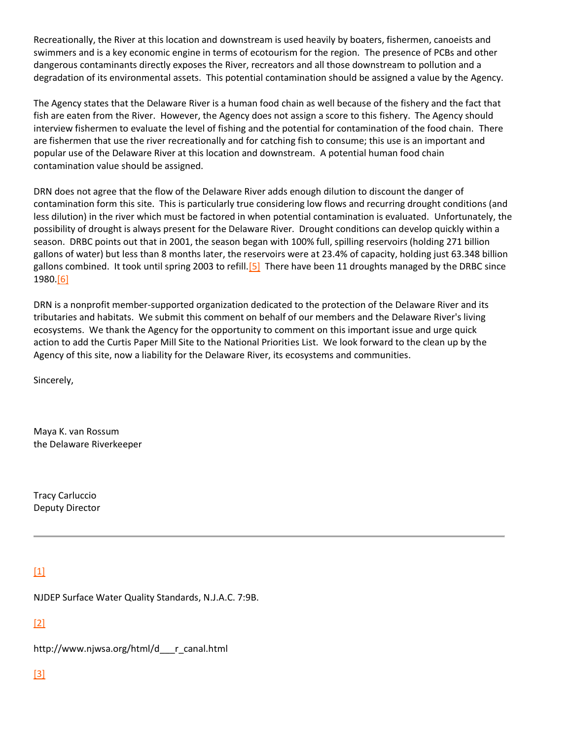Recreationally, the River at this location and downstream is used heavily by boaters, fishermen, canoeists and swimmers and is a key economic engine in terms of ecotourism for the region. The presence of PCBs and other dangerous contaminants directly exposes the River, recreators and all those downstream to pollution and a degradation of its environmental assets. This potential contamination should be assigned a value by the Agency.

The Agency states that the Delaware River is a human food chain as well because of the fishery and the fact that fish are eaten from the River. However, the Agency does not assign a score to this fishery. The Agency should interview fishermen to evaluate the level of fishing and the potential for contamination of the food chain. There are fishermen that use the river recreationally and for catching fish to consume; this use is an important and popular use of the Delaware River at this location and downstream. A potential human food chain contamination value should be assigned.

DRN does not agree that the flow of the Delaware River adds enough dilution to discount the danger of contamination form this site. This is particularly true considering low flows and recurring drought conditions (and less dilution) in the river which must be factored in when potential contamination is evaluated. Unfortunately, the possibility of drought is always present for the Delaware River. Drought conditions can develop quickly within a season. DRBC points out that in 2001, the season began with 100% full, spilling reservoirs (holding 271 billion gallons of water) but less than 8 months later, the reservoirs were at 23.4% of capacity, holding just 63.348 billion gallons combined. It took until spring 2003 to refill.<sup>[5]</sup> There have been 11 droughts managed by the DRBC since 1980[.\[6\]](http://delawareriverkeeper.org/newsresources/factsheet.asp?ID=89#_ftn6)

DRN is a nonprofit member-supported organization dedicated to the protection of the Delaware River and its tributaries and habitats. We submit this comment on behalf of our members and the Delaware River's living ecosystems. We thank the Agency for the opportunity to comment on this important issue and urge quick action to add the Curtis Paper Mill Site to the National Priorities List. We look forward to the clean up by the Agency of this site, now a liability for the Delaware River, its ecosystems and communities.

Sincerely,

Maya K. van Rossum the Delaware Riverkeeper

Tracy Carluccio Deputy Director

## [\[1\]](http://delawareriverkeeper.org/newsresources/factsheet.asp?ID=89#_ftnref1)

NJDEP Surface Water Quality Standards, N.J.A.C. 7:9B.

[\[2\]](http://delawareriverkeeper.org/newsresources/factsheet.asp?ID=89#_ftnref2)

http://www.njwsa.org/html/d\_\_\_r\_canal.html

#### [\[3\]](http://delawareriverkeeper.org/newsresources/factsheet.asp?ID=89#_ftnref3)